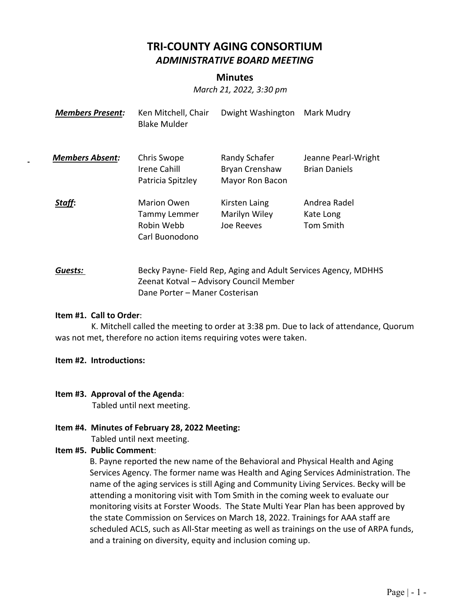# **TRI‐COUNTY AGING CONSORTIUM**  *ADMINISTRATIVE BOARD MEETING*

## **Minutes**

*March 21, 2022, 3:30 pm* 

| <b>Members Present:</b> | Ken Mitchell, Chair<br><b>Blake Mulder</b>                                | Dwight Washington                                  | Mark Mudry                                  |
|-------------------------|---------------------------------------------------------------------------|----------------------------------------------------|---------------------------------------------|
| <b>Members Absent:</b>  | Chris Swope<br>Irene Cahill<br>Patricia Spitzley                          | Randy Schafer<br>Bryan Crenshaw<br>Mayor Ron Bacon | Jeanne Pearl-Wright<br><b>Brian Daniels</b> |
| Staff:                  | <b>Marion Owen</b><br><b>Tammy Lemmer</b><br>Robin Webb<br>Carl Buonodono | Kirsten Laing<br>Marilyn Wiley<br>Joe Reeves       | Andrea Radel<br>Kate Long<br>Tom Smith      |

**Guests: Becky Payne- Field Rep, Aging and Adult Services Agency, MDHHS**  Zeenat Kotval – Advisory Council Member Dane Porter – Maner Costerisan

#### **Item #1. Call to Order**:

 K. Mitchell called the meeting to order at 3:38 pm. Due to lack of attendance, Quorum was not met, therefore no action items requiring votes were taken.

### **Item #2. Introductions:**

#### **Item #3. Approval of the Agenda**:

Tabled until next meeting.

**Item #4. Minutes of February 28, 2022 Meeting:**

Tabled until next meeting.

## **Item #5. Public Comment**:

B. Payne reported the new name of the Behavioral and Physical Health and Aging Services Agency. The former name was Health and Aging Services Administration. The name of the aging services is still Aging and Community Living Services. Becky will be attending a monitoring visit with Tom Smith in the coming week to evaluate our monitoring visits at Forster Woods. The State Multi Year Plan has been approved by the state Commission on Services on March 18, 2022. Trainings for AAA staff are scheduled ACLS, such as All‐Star meeting as well as trainings on the use of ARPA funds, and a training on diversity, equity and inclusion coming up.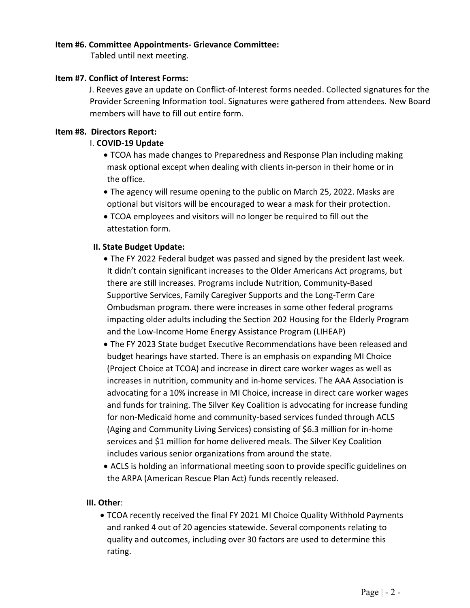### **Item #6. Committee Appointments‐ Grievance Committee:**

Tabled until next meeting.

## **Item #7. Conflict of Interest Forms:**

J. Reeves gave an update on Conflict‐of‐Interest forms needed. Collected signatures for the Provider Screening Information tool. Signatures were gathered from attendees. New Board members will have to fill out entire form.

## **Item #8. Directors Report:**

## I. **COVID‐19 Update**

- TCOA has made changes to Preparedness and Response Plan including making mask optional except when dealing with clients in‐person in their home or in the office.
- The agency will resume opening to the public on March 25, 2022. Masks are optional but visitors will be encouraged to wear a mask for their protection.
- TCOA employees and visitors will no longer be required to fill out the attestation form.

## **II. State Budget Update:**

- The FY 2022 Federal budget was passed and signed by the president last week. It didn't contain significant increases to the Older Americans Act programs, but there are still increases. Programs include Nutrition, Community‐Based Supportive Services, Family Caregiver Supports and the Long‐Term Care Ombudsman program. there were increases in some other federal programs impacting older adults including the Section 202 Housing for the Elderly Program and the Low‐Income Home Energy Assistance Program (LIHEAP)
- The FY 2023 State budget Executive Recommendations have been released and budget hearings have started. There is an emphasis on expanding MI Choice (Project Choice at TCOA) and increase in direct care worker wages as well as increases in nutrition, community and in‐home services. The AAA Association is advocating for a 10% increase in MI Choice, increase in direct care worker wages and funds for training. The Silver Key Coalition is advocating for increase funding for non‐Medicaid home and community‐based services funded through ACLS (Aging and Community Living Services) consisting of \$6.3 million for in‐home services and \$1 million for home delivered meals. The Silver Key Coalition includes various senior organizations from around the state.
- ACLS is holding an informational meeting soon to provide specific guidelines on the ARPA (American Rescue Plan Act) funds recently released.

## **III. Other**:

 TCOA recently received the final FY 2021 MI Choice Quality Withhold Payments and ranked 4 out of 20 agencies statewide. Several components relating to quality and outcomes, including over 30 factors are used to determine this rating.